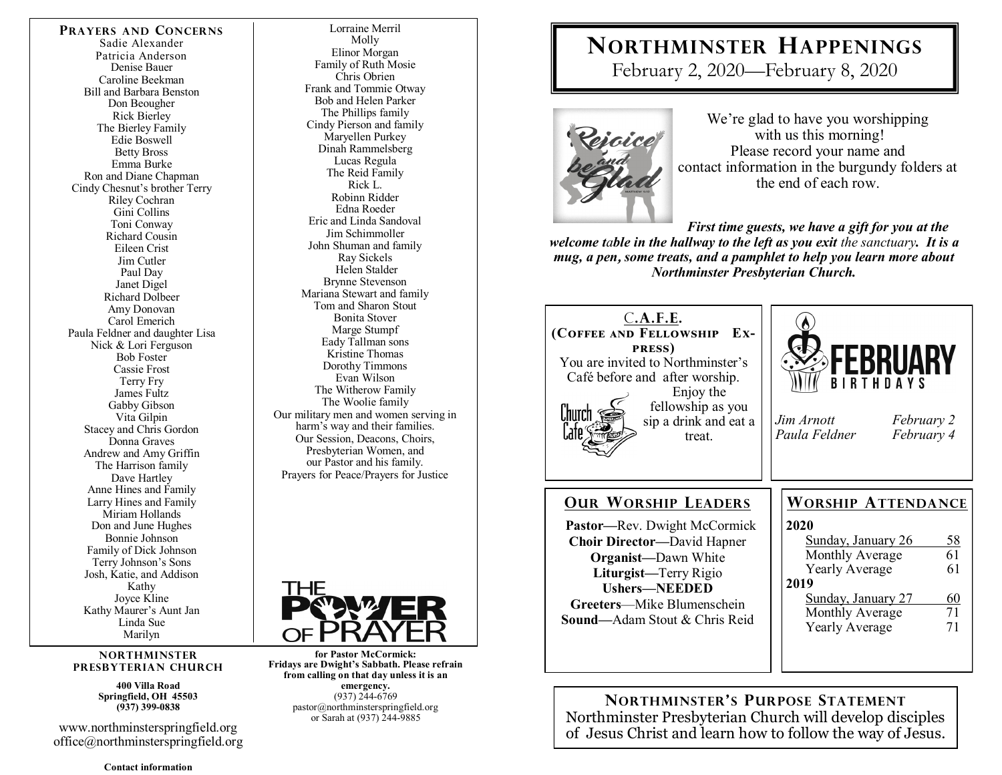**PRAYERS AND CONCERNS** Sadie Alexander Patricia Anderson Denise Bauer Caroline Beekman Bill and Barbara Benston Don Beougher Rick Bierley The Bierley Family Edie Boswell Betty Bross Emma Burke Ron and Diane Chapman Cindy Chesnut's brother Terry Riley Cochran Gini Collins Toni Conway Richard Cousin Eileen Crist Jim Cutler Paul Day Janet Digel Richard Dolbeer Amy Donovan Carol Emerich Paula Feldner and daughter Lisa Nick & Lori Ferguson Bob Foster Cassie Frost Terry Fry James Fultz Gabby Gibson Vita Gilpin Stacey and Chris Gordon Donna Graves Andrew and Amy Griffin The Harrison family Dave Hartley Anne Hines and Family Larry Hines and Family Miriam Hollands Don and June Hughes Bonnie Johnson Family of Dick Johnson Terry Johnson's Sons Josh, Katie, and Addison Kathy Joyce Kline Kathy Maurer's Aunt Jan Linda Sue Marilyn

#### **NORTHMINSTER PRESBYTERIAN CHURCH**

**400 Villa Road Springfield, OH 45503 (937) 399-0838** 

www.northminsterspringfield.org office@northminsterspringfield.org

**Contact information** 

Lorraine Merril Molly Elinor Morgan Family of Ruth Mosie Chris Obrien Frank and Tommie Otway Bob and Helen Parker The Phillips family Cindy Pierson and family Maryellen Purkey Dinah Rammelsberg Lucas Regula The Reid Family Rick L. Robinn Ridder Edna Roeder Eric and Linda Sandoval Jim Schimmoller John Shuman and family Ray Sickels Helen Stalder Brynne Stevenson Mariana Stewart and family Tom and Sharon Stout Bonita Stover Marge Stumpf Eady Tallman sons Kristine Thomas Dorothy Timmons Evan Wilson The Witherow Family The Woolie family Our military men and women serving in harm's way and their families. Our Session, Deacons, Choirs, Presbyterian Women, and our Pastor and his family. Prayers for Peace/Prayers for Justice



**for Pastor McCormick: Fridays are Dwight's Sabbath. Please refrain from calling on that day unless it is an emergency.** (937) 244-6769 pastor@northminsterspringfield.org or Sarah at (937) 244-9885

# **NORTHMINSTER HAPPENINGS**

February 2, 2020—February 8, 2020



We're glad to have you worshipping with us this morning! Please record your name and contact information in the burgundy folders at the end of each row.

*First time guests, we have a gift for you at the welcome table in the hallway to the left as you exit the sanctuary. It is a mug, a pen***,** *some treats, and a pamphlet to help you learn more about Northminster Presbyterian Church.* 



**NORTHMINSTER'S PURPOSE STATEMENT** Northminster Presbyterian Church will develop disciples of Jesus Christ and learn how to follow the way of Jesus.